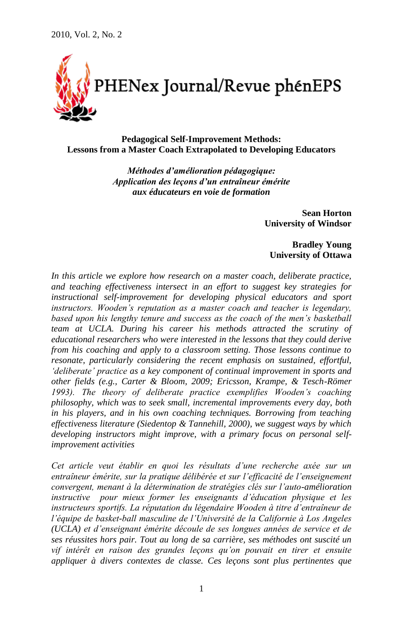

**Pedagogical Self-Improvement Methods: Lessons from a Master Coach Extrapolated to Developing Educators**

> *Méthodes d'amélioration pédagogique: Application des leçons d'un entraîneur émérite aux éducateurs en voie de formation*

> > **Sean Horton University of Windsor**

**Bradley Young University of Ottawa**

In this article we explore how research on a master coach, deliberate practice, *and teaching effectiveness intersect in an effort to suggest key strategies for instructional self-improvement for developing physical educators and sport instructors. Wooden's reputation as a master coach and teacher is legendary, based upon his lengthy tenure and success as the coach of the men's basketball team at UCLA. During his career his methods attracted the scrutiny of educational researchers who were interested in the lessons that they could derive from his coaching and apply to a classroom setting. Those lessons continue to resonate, particularly considering the recent emphasis on sustained, effortful, 'deliberate' practice as a key component of continual improvement in sports and other fields (e.g., Carter & Bloom, 2009; Ericsson, Krampe, & Tesch-Römer 1993). The theory of deliberate practice exemplifies Wooden's coaching philosophy, which was to seek small, incremental improvements every day, both in his players, and in his own coaching techniques. Borrowing from teaching effectiveness literature (Siedentop & Tannehill, 2000), we suggest ways by which developing instructors might improve, with a primary focus on personal selfimprovement activities*

*Cet article veut établir en quoi les résultats d'une recherche axée sur un entraîneur émérite, sur la pratique délibérée et sur l'efficacité de l'enseignement convergent, menant à la détermination de stratégies clés sur l'auto-amélioration instructive pour mieux former les enseignants d'éducation physique et les instructeurs sportifs. La réputation du légendaire Wooden à titre d'entraîneur de l'équipe de basket-ball masculine de l'Université de la Californie à Los Angeles (UCLA) et d'enseignant émérite découle de ses longues années de service et de ses réussites hors pair. Tout au long de sa carrière, ses méthodes ont suscité un vif intérêt en raison des grandes leçons qu'on pouvait en tirer et ensuite appliquer à divers contextes de classe. Ces leçons sont plus pertinentes que*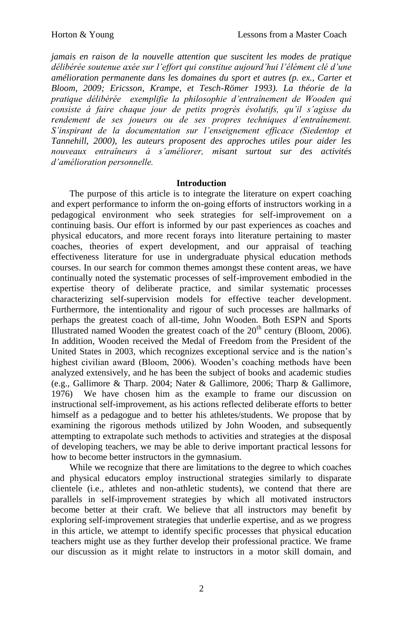*jamais en raison de la nouvelle attention que suscitent les modes de pratique délibérée soutenue axée sur l'effort qui constitue aujourd'hui l'élément clé d'une amélioration permanente dans les domaines du sport et autres (p. ex., Carter et Bloom, 2009; Ericsson, Krampe, et Tesch-Römer 1993). La théorie de la pratique délibérée exemplifie la philosophie d'entraînement de Wooden qui consiste à faire chaque jour de petits progrès évolutifs, qu'il s'agisse du rendement de ses joueurs ou de ses propres techniques d'entraînement. S'inspirant de la documentation sur l'enseignement efficace (Siedentop et Tannehill, 2000), les auteurs proposent des approches utiles pour aider les nouveaux entraîneurs à s'améliorer, misant surtout sur des activités d'amélioration personnelle.*

## **Introduction**

The purpose of this article is to integrate the literature on expert coaching and expert performance to inform the on-going efforts of instructors working in a pedagogical environment who seek strategies for self-improvement on a continuing basis. Our effort is informed by our past experiences as coaches and physical educators, and more recent forays into literature pertaining to master coaches, theories of expert development, and our appraisal of teaching effectiveness literature for use in undergraduate physical education methods courses. In our search for common themes amongst these content areas, we have continually noted the systematic processes of self-improvement embodied in the expertise theory of deliberate practice, and similar systematic processes characterizing self-supervision models for effective teacher development. Furthermore, the intentionality and rigour of such processes are hallmarks of perhaps the greatest coach of all-time, John Wooden. Both ESPN and Sports Illustrated named Wooden the greatest coach of the  $20<sup>th</sup>$  century (Bloom, 2006). In addition, Wooden received the Medal of Freedom from the President of the United States in 2003, which recognizes exceptional service and is the nation"s highest civilian award (Bloom, 2006). Wooden"s coaching methods have been analyzed extensively, and he has been the subject of books and academic studies (e.g., Gallimore & Tharp. 2004; Nater & Gallimore, 2006; Tharp & Gallimore, 1976) We have chosen him as the example to frame our discussion on instructional self-improvement, as his actions reflected deliberate efforts to better himself as a pedagogue and to better his athletes/students. We propose that by examining the rigorous methods utilized by John Wooden, and subsequently attempting to extrapolate such methods to activities and strategies at the disposal of developing teachers, we may be able to derive important practical lessons for how to become better instructors in the gymnasium.

While we recognize that there are limitations to the degree to which coaches and physical educators employ instructional strategies similarly to disparate clientele (i.e., athletes and non-athletic students), we contend that there are parallels in self-improvement strategies by which all motivated instructors become better at their craft. We believe that all instructors may benefit by exploring self-improvement strategies that underlie expertise, and as we progress in this article, we attempt to identify specific processes that physical education teachers might use as they further develop their professional practice. We frame our discussion as it might relate to instructors in a motor skill domain, and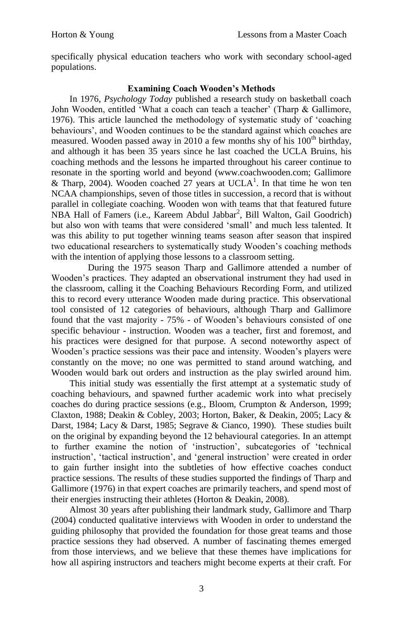specifically physical education teachers who work with secondary school-aged populations.

# **Examining Coach Wooden's Methods**

In 1976, *Psychology Today* published a research study on basketball coach John Wooden, entitled 'What a coach can teach a teacher' (Tharp & Gallimore, 1976). This article launched the methodology of systematic study of "coaching behaviours', and Wooden continues to be the standard against which coaches are measured. Wooden passed away in 2010 a few months shy of his  $100<sup>th</sup>$  birthday, and although it has been 35 years since he last coached the UCLA Bruins, his coaching methods and the lessons he imparted throughout his career continue to resonate in the sporting world and beyond (www.coachwooden.com; Gallimore & Tharp, 2004). Wooden coached 27 years at UCLA<sup>1</sup>. In that time he won ten NCAA championships, seven of those titles in succession, a record that is without parallel in collegiate coaching. Wooden won with teams that that featured future NBA Hall of Famers (i.e., Kareem Abdul Jabbar<sup>2</sup> , Bill Walton, Gail Goodrich) but also won with teams that were considered "small" and much less talented. It was this ability to put together winning teams season after season that inspired two educational researchers to systematically study Wooden"s coaching methods with the intention of applying those lessons to a classroom setting.

During the 1975 season Tharp and Gallimore attended a number of Wooden"s practices. They adapted an observational instrument they had used in the classroom, calling it the Coaching Behaviours Recording Form, and utilized this to record every utterance Wooden made during practice. This observational tool consisted of 12 categories of behaviours, although Tharp and Gallimore found that the vast majority - 75% - of Wooden"s behaviours consisted of one specific behaviour - instruction. Wooden was a teacher, first and foremost, and his practices were designed for that purpose. A second noteworthy aspect of Wooden"s practice sessions was their pace and intensity. Wooden"s players were constantly on the move; no one was permitted to stand around watching, and Wooden would bark out orders and instruction as the play swirled around him.

This initial study was essentially the first attempt at a systematic study of coaching behaviours, and spawned further academic work into what precisely coaches do during practice sessions (e.g., Bloom, Crumpton & Anderson, 1999; Claxton, 1988; Deakin & Cobley, 2003; Horton, Baker, & Deakin, 2005; Lacy & Darst, 1984; Lacy & Darst, 1985; Segrave & Cianco, 1990). These studies built on the original by expanding beyond the 12 behavioural categories. In an attempt to further examine the notion of "instruction", subcategories of "technical instruction", "tactical instruction", and "general instruction" were created in order to gain further insight into the subtleties of how effective coaches conduct practice sessions. The results of these studies supported the findings of Tharp and Gallimore (1976) in that expert coaches are primarily teachers, and spend most of their energies instructing their athletes (Horton & Deakin, 2008).

Almost 30 years after publishing their landmark study, Gallimore and Tharp (2004) conducted qualitative interviews with Wooden in order to understand the guiding philosophy that provided the foundation for those great teams and those practice sessions they had observed. A number of fascinating themes emerged from those interviews, and we believe that these themes have implications for how all aspiring instructors and teachers might become experts at their craft. For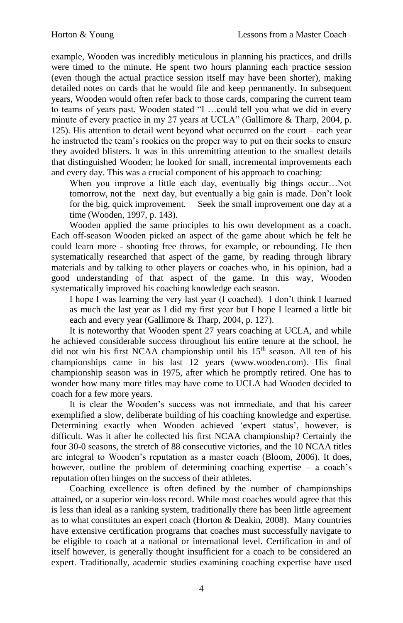example, Wooden was incredibly meticulous in planning his practices, and drills were timed to the minute. He spent two hours planning each practice session (even though the actual practice session itself may have been shorter), making detailed notes on cards that he would file and keep permanently. In subsequent years, Wooden would often refer back to those cards, comparing the current team to teams of years past. Wooden stated "I …could tell you what we did in every minute of every practice in my 27 years at UCLA" (Gallimore & Tharp, 2004, p. 125). His attention to detail went beyond what occurred on the court – each year he instructed the team"s rookies on the proper way to put on their socks to ensure they avoided blisters. It was in this unremitting attention to the smallest details that distinguished Wooden; he looked for small, incremental improvements each and every day. This was a crucial component of his approach to coaching:

When you improve a little each day, eventually big things occur…Not tomorrow, not the next day, but eventually a big gain is made. Don"t look for the big, quick improvement. Seek the small improvement one day at a time (Wooden, 1997, p. 143).

Wooden applied the same principles to his own development as a coach. Each off-season Wooden picked an aspect of the game about which he felt he could learn more - shooting free throws, for example, or rebounding. He then systematically researched that aspect of the game, by reading through library materials and by talking to other players or coaches who, in his opinion, had a good understanding of that aspect of the game. In this way, Wooden systematically improved his coaching knowledge each season.

I hope I was learning the very last year (I coached). I don"t think I learned as much the last year as I did my first year but I hope I learned a little bit each and every year (Gallimore & Tharp, 2004, p. 127).

It is noteworthy that Wooden spent 27 years coaching at UCLA, and while he achieved considerable success throughout his entire tenure at the school, he did not win his first NCAA championship until his 15<sup>th</sup> season. All ten of his championships came in his last 12 years (www.wooden.com). His final championship season was in 1975, after which he promptly retired. One has to wonder how many more titles may have come to UCLA had Wooden decided to coach for a few more years.

It is clear the Wooden"s success was not immediate, and that his career exemplified a slow, deliberate building of his coaching knowledge and expertise. Determining exactly when Wooden achieved 'expert status', however, is difficult. Was it after he collected his first NCAA championship? Certainly the four 30-0 seasons, the stretch of 88 consecutive victories, and the 10 NCAA titles are integral to Wooden"s reputation as a master coach (Bloom, 2006). It does, however, outline the problem of determining coaching expertise – a coach's reputation often hinges on the success of their athletes.

Coaching excellence is often defined by the number of championships attained, or a superior win-loss record. While most coaches would agree that this is less than ideal as a ranking system, traditionally there has been little agreement as to what constitutes an expert coach (Horton & Deakin, 2008). Many countries have extensive certification programs that coaches must successfully navigate to be eligible to coach at a national or international level. Certification in and of itself however, is generally thought insufficient for a coach to be considered an expert. Traditionally, academic studies examining coaching expertise have used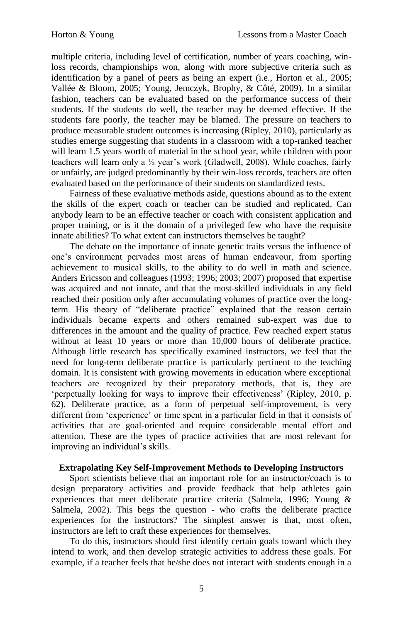multiple criteria, including level of certification, number of years coaching, winloss records, championships won, along with more subjective criteria such as identification by a panel of peers as being an expert (i.e., Horton et al., 2005; Vallée & Bloom, 2005; Young, Jemczyk, Brophy, & Côté, 2009). In a similar fashion, teachers can be evaluated based on the performance success of their students. If the students do well, the teacher may be deemed effective. If the students fare poorly, the teacher may be blamed. The pressure on teachers to produce measurable student outcomes is increasing (Ripley, 2010), particularly as studies emerge suggesting that students in a classroom with a top-ranked teacher will learn 1.5 years worth of material in the school year, while children with poor teachers will learn only a ½ year"s work (Gladwell, 2008). While coaches, fairly or unfairly, are judged predominantly by their win-loss records, teachers are often evaluated based on the performance of their students on standardized tests.

Fairness of these evaluative methods aside, questions abound as to the extent the skills of the expert coach or teacher can be studied and replicated. Can anybody learn to be an effective teacher or coach with consistent application and proper training, or is it the domain of a privileged few who have the requisite innate abilities? To what extent can instructors themselves be taught?

The debate on the importance of innate genetic traits versus the influence of one"s environment pervades most areas of human endeavour, from sporting achievement to musical skills, to the ability to do well in math and science. Anders Ericsson and colleagues (1993; 1996; 2003; 2007) proposed that expertise was acquired and not innate, and that the most-skilled individuals in any field reached their position only after accumulating volumes of practice over the longterm. His theory of "deliberate practice" explained that the reason certain individuals became experts and others remained sub-expert was due to differences in the amount and the quality of practice. Few reached expert status without at least 10 years or more than 10,000 hours of deliberate practice. Although little research has specifically examined instructors, we feel that the need for long-term deliberate practice is particularly pertinent to the teaching domain. It is consistent with growing movements in education where exceptional teachers are recognized by their preparatory methods, that is, they are 'perpetually looking for ways to improve their effectiveness' (Ripley, 2010, p. 62). Deliberate practice, as a form of perpetual self-improvement, is very different from "experience" or time spent in a particular field in that it consists of activities that are goal-oriented and require considerable mental effort and attention. These are the types of practice activities that are most relevant for improving an individual's skills.

## **Extrapolating Key Self-Improvement Methods to Developing Instructors**

Sport scientists believe that an important role for an instructor/coach is to design preparatory activities and provide feedback that help athletes gain experiences that meet deliberate practice criteria (Salmela, 1996; Young & Salmela, 2002). This begs the question - who crafts the deliberate practice experiences for the instructors? The simplest answer is that, most often, instructors are left to craft these experiences for themselves.

To do this, instructors should first identify certain goals toward which they intend to work, and then develop strategic activities to address these goals. For example, if a teacher feels that he/she does not interact with students enough in a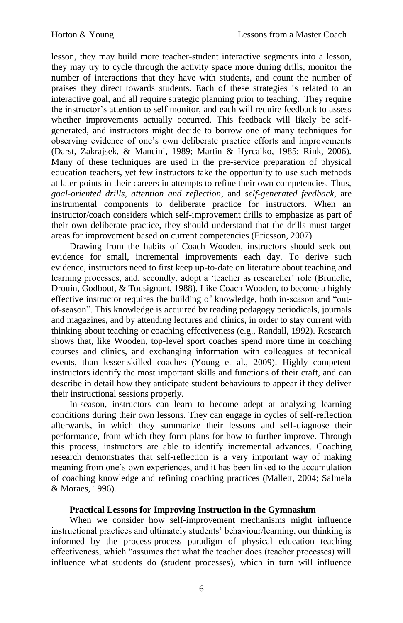lesson, they may build more teacher-student interactive segments into a lesson, they may try to cycle through the activity space more during drills, monitor the number of interactions that they have with students, and count the number of praises they direct towards students. Each of these strategies is related to an interactive goal, and all require strategic planning prior to teaching. They require the instructor"s attention to self-monitor, and each will require feedback to assess whether improvements actually occurred. This feedback will likely be selfgenerated, and instructors might decide to borrow one of many techniques for observing evidence of one"s own deliberate practice efforts and improvements (Darst, Zakrajsek, & Mancini, 1989; Martin & Hyrcaiko, 1985; Rink, 2006). Many of these techniques are used in the pre-service preparation of physical education teachers, yet few instructors take the opportunity to use such methods at later points in their careers in attempts to refine their own competencies. Thus, *goal-oriented drills*, *attention and reflection*, and *self-generated feedback*, are instrumental components to deliberate practice for instructors. When an instructor/coach considers which self-improvement drills to emphasize as part of their own deliberate practice, they should understand that the drills must target areas for improvement based on current competencies (Ericsson, 2007).

Drawing from the habits of Coach Wooden, instructors should seek out evidence for small, incremental improvements each day. To derive such evidence, instructors need to first keep up-to-date on literature about teaching and learning processes, and, secondly, adopt a 'teacher as researcher' role (Brunelle, Drouin, Godbout, & Tousignant, 1988). Like Coach Wooden, to become a highly effective instructor requires the building of knowledge, both in-season and "outof-season". This knowledge is acquired by reading pedagogy periodicals, journals and magazines, and by attending lectures and clinics, in order to stay current with thinking about teaching or coaching effectiveness (e.g., Randall, 1992). Research shows that, like Wooden, top-level sport coaches spend more time in coaching courses and clinics, and exchanging information with colleagues at technical events, than lesser-skilled coaches (Young et al., 2009). Highly competent instructors identify the most important skills and functions of their craft, and can describe in detail how they anticipate student behaviours to appear if they deliver their instructional sessions properly.

In-season, instructors can learn to become adept at analyzing learning conditions during their own lessons. They can engage in cycles of self-reflection afterwards, in which they summarize their lessons and self-diagnose their performance, from which they form plans for how to further improve. Through this process, instructors are able to identify incremental advances. Coaching research demonstrates that self-reflection is a very important way of making meaning from one"s own experiences, and it has been linked to the accumulation of coaching knowledge and refining coaching practices (Mallett, 2004; Salmela & Moraes, 1996).

## **Practical Lessons for Improving Instruction in the Gymnasium**

When we consider how self-improvement mechanisms might influence instructional practices and ultimately students" behaviour/learning, our thinking is informed by the process-process paradigm of physical education teaching effectiveness, which "assumes that what the teacher does (teacher processes) will influence what students do (student processes), which in turn will influence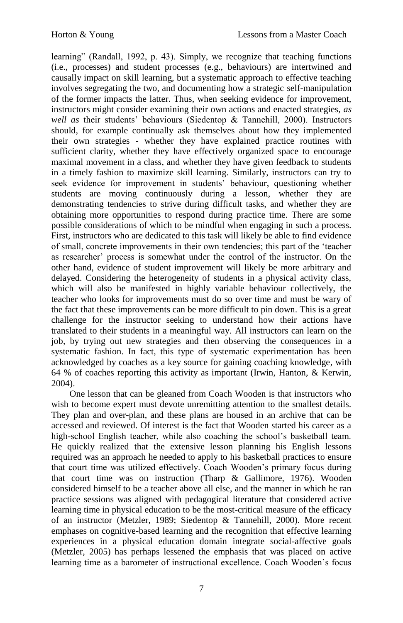learning" (Randall, 1992, p. 43). Simply, we recognize that teaching functions (i.e., processes) and student processes (e.g., behaviours) are intertwined and causally impact on skill learning, but a systematic approach to effective teaching involves segregating the two, and documenting how a strategic self-manipulation of the former impacts the latter. Thus, when seeking evidence for improvement, instructors might consider examining their own actions and enacted strategies, *as well as* their students" behaviours (Siedentop & Tannehill, 2000). Instructors should, for example continually ask themselves about how they implemented their own strategies - whether they have explained practice routines with sufficient clarity, whether they have effectively organized space to encourage maximal movement in a class, and whether they have given feedback to students in a timely fashion to maximize skill learning. Similarly, instructors can try to seek evidence for improvement in students' behaviour, questioning whether students are moving continuously during a lesson, whether they are demonstrating tendencies to strive during difficult tasks, and whether they are obtaining more opportunities to respond during practice time. There are some possible considerations of which to be mindful when engaging in such a process. First, instructors who are dedicated to this task will likely be able to find evidence of small, concrete improvements in their own tendencies; this part of the "teacher as researcher" process is somewhat under the control of the instructor. On the other hand, evidence of student improvement will likely be more arbitrary and delayed. Considering the heterogeneity of students in a physical activity class, which will also be manifested in highly variable behaviour collectively, the teacher who looks for improvements must do so over time and must be wary of the fact that these improvements can be more difficult to pin down. This is a great challenge for the instructor seeking to understand how their actions have translated to their students in a meaningful way. All instructors can learn on the job, by trying out new strategies and then observing the consequences in a systematic fashion. In fact, this type of systematic experimentation has been acknowledged by coaches as a key source for gaining coaching knowledge, with 64 % of coaches reporting this activity as important (Irwin, Hanton, & Kerwin, 2004).

One lesson that can be gleaned from Coach Wooden is that instructors who wish to become expert must devote unremitting attention to the smallest details. They plan and over-plan, and these plans are housed in an archive that can be accessed and reviewed. Of interest is the fact that Wooden started his career as a high-school English teacher, while also coaching the school"s basketball team. He quickly realized that the extensive lesson planning his English lessons required was an approach he needed to apply to his basketball practices to ensure that court time was utilized effectively. Coach Wooden"s primary focus during that court time was on instruction (Tharp & Gallimore, 1976). Wooden considered himself to be a teacher above all else, and the manner in which he ran practice sessions was aligned with pedagogical literature that considered active learning time in physical education to be the most-critical measure of the efficacy of an instructor (Metzler, 1989; Siedentop & Tannehill, 2000). More recent emphases on cognitive-based learning and the recognition that effective learning experiences in a physical education domain integrate social-affective goals (Metzler, 2005) has perhaps lessened the emphasis that was placed on active learning time as a barometer of instructional excellence. Coach Wooden"s focus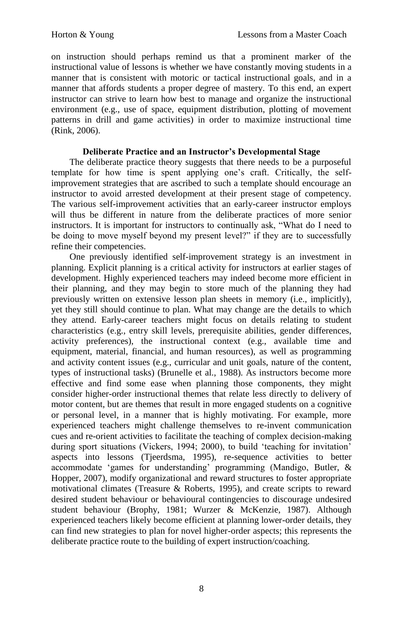on instruction should perhaps remind us that a prominent marker of the instructional value of lessons is whether we have constantly moving students in a manner that is consistent with motoric or tactical instructional goals, and in a manner that affords students a proper degree of mastery. To this end, an expert instructor can strive to learn how best to manage and organize the instructional environment (e.g., use of space, equipment distribution, plotting of movement patterns in drill and game activities) in order to maximize instructional time (Rink, 2006).

# **Deliberate Practice and an Instructor's Developmental Stage**

The deliberate practice theory suggests that there needs to be a purposeful template for how time is spent applying one"s craft. Critically, the selfimprovement strategies that are ascribed to such a template should encourage an instructor to avoid arrested development at their present stage of competency. The various self-improvement activities that an early-career instructor employs will thus be different in nature from the deliberate practices of more senior instructors. It is important for instructors to continually ask, "What do I need to be doing to move myself beyond my present level?" if they are to successfully refine their competencies.

One previously identified self-improvement strategy is an investment in planning. Explicit planning is a critical activity for instructors at earlier stages of development. Highly experienced teachers may indeed become more efficient in their planning, and they may begin to store much of the planning they had previously written on extensive lesson plan sheets in memory (i.e., implicitly), yet they still should continue to plan. What may change are the details to which they attend. Early-career teachers might focus on details relating to student characteristics (e.g., entry skill levels, prerequisite abilities, gender differences, activity preferences), the instructional context (e.g., available time and equipment, material, financial, and human resources), as well as programming and activity content issues (e.g., curricular and unit goals, nature of the content, types of instructional tasks) (Brunelle et al., 1988). As instructors become more effective and find some ease when planning those components, they might consider higher-order instructional themes that relate less directly to delivery of motor content, but are themes that result in more engaged students on a cognitive or personal level, in a manner that is highly motivating. For example, more experienced teachers might challenge themselves to re-invent communication cues and re-orient activities to facilitate the teaching of complex decision-making during sport situations (Vickers, 1994; 2000), to build 'teaching for invitation' aspects into lessons (Tjeerdsma, 1995), re-sequence activities to better accommodate "games for understanding" programming (Mandigo, Butler, & Hopper, 2007), modify organizational and reward structures to foster appropriate motivational climates (Treasure & Roberts, 1995), and create scripts to reward desired student behaviour or behavioural contingencies to discourage undesired student behaviour (Brophy, 1981; Wurzer & McKenzie, 1987). Although experienced teachers likely become efficient at planning lower-order details, they can find new strategies to plan for novel higher-order aspects; this represents the deliberate practice route to the building of expert instruction/coaching.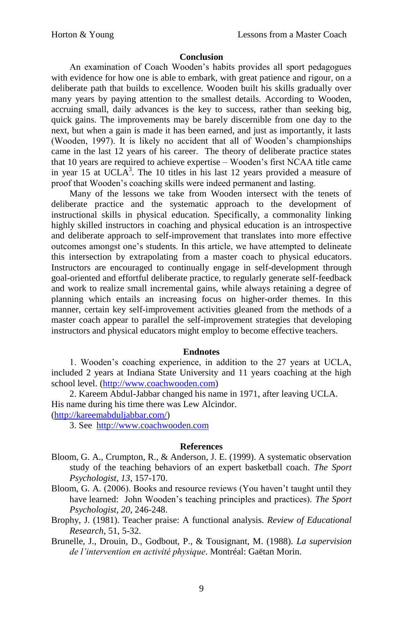### **Conclusion**

An examination of Coach Wooden"s habits provides all sport pedagogues with evidence for how one is able to embark, with great patience and rigour, on a deliberate path that builds to excellence. Wooden built his skills gradually over many years by paying attention to the smallest details. According to Wooden, accruing small, daily advances is the key to success, rather than seeking big, quick gains. The improvements may be barely discernible from one day to the next, but when a gain is made it has been earned, and just as importantly, it lasts (Wooden, 1997). It is likely no accident that all of Wooden"s championships came in the last 12 years of his career. The theory of deliberate practice states that 10 years are required to achieve expertise – Wooden"s first NCAA title came in year 15 at UCLA<sup>3</sup>. The 10 titles in his last 12 years provided a measure of proof that Wooden"s coaching skills were indeed permanent and lasting.

Many of the lessons we take from Wooden intersect with the tenets of deliberate practice and the systematic approach to the development of instructional skills in physical education. Specifically, a commonality linking highly skilled instructors in coaching and physical education is an introspective and deliberate approach to self-improvement that translates into more effective outcomes amongst one"s students. In this article, we have attempted to delineate this intersection by extrapolating from a master coach to physical educators. Instructors are encouraged to continually engage in self-development through goal-oriented and effortful deliberate practice, to regularly generate self-feedback and work to realize small incremental gains, while always retaining a degree of planning which entails an increasing focus on higher-order themes. In this manner, certain key self-improvement activities gleaned from the methods of a master coach appear to parallel the self-improvement strategies that developing instructors and physical educators might employ to become effective teachers.

#### **Endnotes**

1. Wooden"s coaching experience, in addition to the 27 years at UCLA, included 2 years at Indiana State University and 11 years coaching at the high school level. [\(http://www.coachwooden.com\)](http://www.coachwooden.com/)

2. Kareem Abdul-Jabbar changed his name in 1971, after leaving UCLA. His name during his time there was Lew Alcindor.

[\(http://kareemabduljabbar.com/\)](http://kareemabduljabbar.com/)

3. See [http://www.coachwooden.com](http://www.coachwooden.com/)

#### **References**

- Bloom, G. A., Crumpton, R., & Anderson, J. E. (1999). A systematic observation study of the teaching behaviors of an expert basketball coach. *The Sport Psychologist, 13,* 157-170.
- Bloom, G. A. (2006). Books and resource reviews (You haven"t taught until they have learned: John Wooden"s teaching principles and practices). *The Sport Psychologist, 20*, 246-248.
- Brophy, J. (1981). Teacher praise: A functional analysis. *Review of Educational Research*, 51, 5-32.
- Brunelle, J., Drouin, D., Godbout, P., & Tousignant, M. (1988). *La supervision de l'intervention en activité physique*. Montréal: Gaëtan Morin.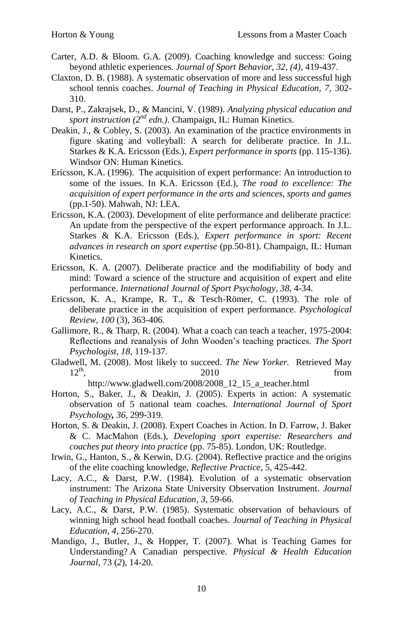- Carter, A.D. & Bloom. G.A. (2009). Coaching knowledge and success: Going beyond athletic experiences. *Journal of Sport Behavior, 32, (4)*, 419-437.
- Claxton, D. B. (1988). A systematic observation of more and less successful high school tennis coaches. *Journal of Teaching in Physical Education, 7,* 302- 310.
- Darst, P., Zakrajsek, D., & Mancini, V. (1989). *Analyzing physical education and sport instruction (2nd edn.)*. Champaign, IL: Human Kinetics.
- Deakin, J., & Cobley, S. (2003). An examination of the practice environments in figure skating and volleyball: A search for deliberate practice. In J.L. Starkes & K.A. Ericsson (Eds.), *Expert performance in sports* (pp. 115-136). Windsor ON: Human Kinetics.
- Ericsson, K.A. (1996). The acquisition of expert performance: An introduction to some of the issues. In K.A. Ericsson (Ed.), *The road to excellence: The acquisition of expert performance in the arts and sciences, sports and games* (pp.1-50). Mahwah, NJ: LEA.
- Ericsson, K.A. (2003). Development of elite performance and deliberate practice: An update from the perspective of the expert performance approach. In J.L. Starkes & K.A. Ericsson (Eds.), *Expert performance in sport: Recent advances in research on sport expertise* (pp.50-81). Champaign, IL: Human Kinetics.
- Ericsson, K. A. (2007). Deliberate practice and the modifiability of body and mind: Toward a science of the structure and acquisition of expert and elite performance. *International Journal of Sport Psychology*, *38*, 4-34.
- Ericsson, K. A., Krampe, R. T., & Tesch-Römer, C. (1993). The role of deliberate practice in the acquisition of expert performance. *Psychological Review, 100* (3), 363-406.
- Gallimore, R., & Tharp, R. (2004). What a coach can teach a teacher,  $1975-2004$ : Reflections and reanalysis of John Wooden"s teaching practices. *The Sport Psychologist, 18,* 119-137.
- Gladwell, M. (2008). Most likely to succeed. *The New Yorker.* Retrieved May  $12<sup>th</sup>$ , 2010 from

http://www.gladwell.com/2008/2008\_12\_15\_a\_teacher.html

- Horton, S., Baker, J., & Deakin, J. (2005). Experts in action: A systematic observation of 5 national team coaches. *International Journal of Sport Psychology, 36,* 299-319.
- Horton, S. & Deakin, J. (2008). Expert Coaches in Action. In D. Farrow, J. Baker & C. MacMahon (Eds.), *Developing sport expertise: Researchers and coaches put theory into practice* (pp. 75-85). London, UK: Routledge.
- Irwin, G., Hanton, S., & Kerwin, D.G. (2004). Reflective practice and the origins of the elite coaching knowledge, *Reflective Practice*, 5, 425-442.
- Lacy, A.C., & Darst, P.W. (1984). Evolution of a systematic observation instrument: The Arizona State University Observation Instrument. *Journal of Teaching in Physical Education*, *3*, 59-66.
- Lacy, A.C., & Darst, P.W. (1985). Systematic observation of behaviours of winning high school head football coaches. *Journal of Teaching in Physical Education, 4*, 256-270.
- Mandigo, J., Butler, J., & Hopper, T. (2007). What is Teaching Games for Understanding? A Canadian perspective. *Physical & Health Education Journal*, 73 (*2*), 14-20.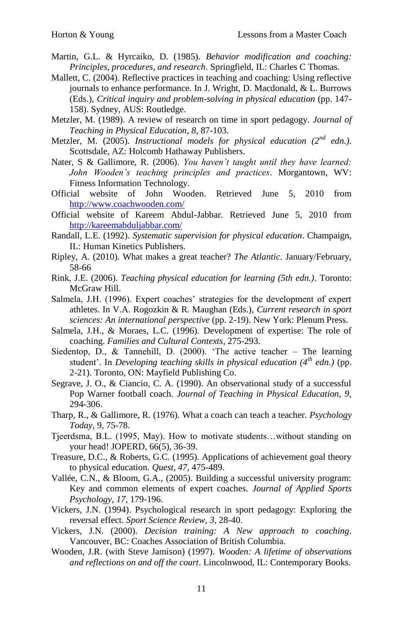- Martin, G.L. & Hyrcaiko, D. (1985). *Behavior modification and coaching: Principles, procedures, and research*. Springfield, IL: Charles C Thomas.
- Mallett, C. (2004). Reflective practices in teaching and coaching: Using reflective journals to enhance performance. In J. Wright, D. Macdonald, & L. Burrows (Eds.), *Critical inquiry and problem-solving in physical education* (pp. 147-158). Sydney, AUS: Routledge.
- Metzler, M. (1989). A review of research on time in sport pedagogy. *Journal of Teaching in Physical Education*, *8*, 87-103.
- Metzler, M. (2005). *Instructional models for physical education (2nd edn.)*. Scottsdale, AZ: Holcomb Hathaway Publishers.
- Nater, S & Gallimore, R. (2006). *You haven't taught until they have learned: John Wooden's teaching principles and practices*. Morgantown, WV: Fitness Information Technology.
- Official website of John Wooden. Retrieved June 5, 2010 from <http://www.coachwooden.com/>
- Official website of Kareem Abdul-Jabbar. Retrieved June 5, 2010 from <http://kareemabduljabbar.com/>
- Randall, L.E. (1992). *Systematic supervision for physical education*. Champaign, IL: Human Kinetics Publishers.
- Ripley, A. (2010). What makes a great teacher? *The Atlantic*. January/February, 58-66
- Rink, J.E. (2006). *Teaching physical education for learning (5th edn.)*. Toronto: McGraw Hill.
- Salmela, J.H. (1996). Expert coaches' strategies for the development of expert athletes. In V.A. Rogozkin & R. Maughan (Eds.), *Current research in sport sciences: An international perspective* (pp. 2-19). New York: Plenum Press.
- Salmela, J.H., & Moraes, L.C. (1996). Development of expertise: The role of coaching. *Families and Cultural Contexts*, 275-293.
- Siedentop, D., & Tannehill, D. (2000). "The active teacher The learning student". In *Developing teaching skills in physical education (4th edn.)* (pp. 2-21). Toronto, ON: Mayfield Publishing Co.
- Segrave, J. O., & Ciancio, C. A. (1990). An observational study of a successful Pop Warner football coach. *Journal of Teaching in Physical Education, 9,* 294-306.
- Tharp, R., & Gallimore, R. (1976). What a coach can teach a teacher. *Psychology Today,* 9, 75-78.
- Tjeerdsma, B.L. (1995, May). How to motivate students…without standing on your head! JOPERD, 66(5), 36-39.
- Treasure, D.C., & Roberts, G.C. (1995). Applications of achievement goal theory to physical education. *Quest*, *47*, 475-489.
- Vallée, C.N., & Bloom, G.A., (2005). Building a successful university program: Key and common elements of expert coaches. *Journal of Applied Sports Psychology*, *17*, 179-196.
- Vickers, J.N. (1994). Psychological research in sport pedagogy: Exploring the reversal effect. *Sport Science Review*, *3*, 28-40.
- Vickers, J.N. (2000). *Decision training: A New approach to coaching*. Vancouver, BC: Coaches Association of British Columbia.
- Wooden, J.R. (with Steve Jamison) (1997). *Wooden: A lifetime of observations and reflections on and off the court*. Lincolnwood, IL: Contemporary Books.